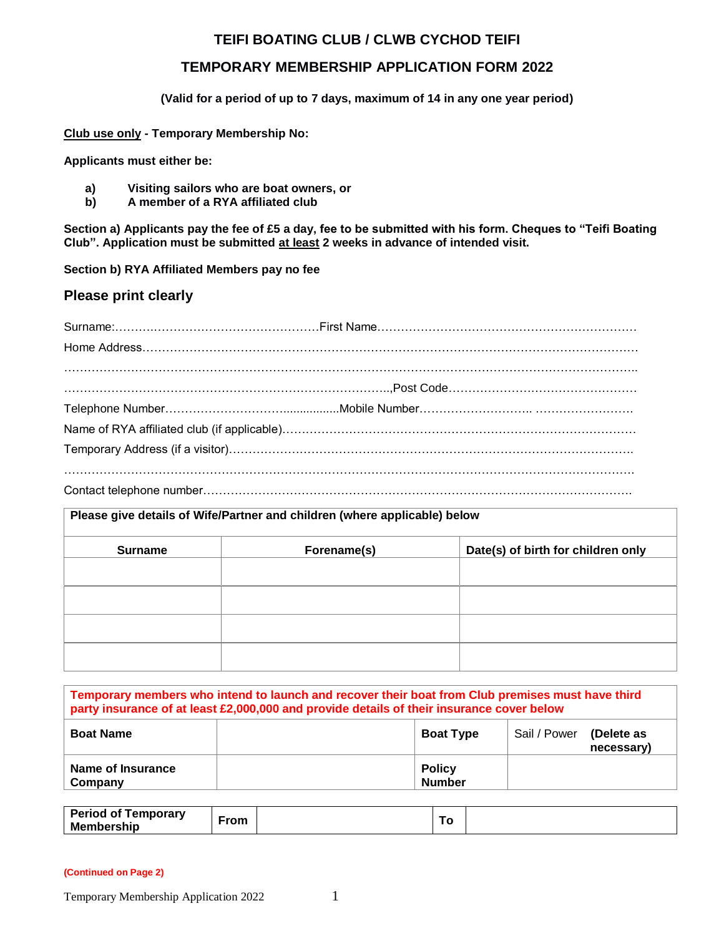# **TEIFI BOATING CLUB / CLWB CYCHOD TEIFI**

# **TEMPORARY MEMBERSHIP APPLICATION FORM 2022**

**(Valid for a period of up to 7 days, maximum of 14 in any one year period)**

**Club use only - Temporary Membership No:**

**Applicants must either be:**

- **a) Visiting sailors who are boat owners, or**
- **b) A member of a RYA affiliated club**

**Section a) Applicants pay the fee of £5 a day, fee to be submitted with his form. Cheques to "Teifi Boating Club". Application must be submitted at least 2 weeks in advance of intended visit.**

**Section b) RYA Affiliated Members pay no fee**

## **Please print clearly**

### **Please give details of Wife/Partner and children (where applicable) below**

| <b>Surname</b> | Forename(s) | Date(s) of birth for children only |
|----------------|-------------|------------------------------------|
|                |             |                                    |
|                |             |                                    |
|                |             |                                    |
|                |             |                                    |
|                |             |                                    |
|                |             |                                    |
|                |             |                                    |

| Temporary members who intend to launch and recover their boat from Club premises must have third<br>party insurance of at least £2,000,000 and provide details of their insurance cover below |                                |              |                          |  |  |  |
|-----------------------------------------------------------------------------------------------------------------------------------------------------------------------------------------------|--------------------------------|--------------|--------------------------|--|--|--|
| <b>Boat Name</b>                                                                                                                                                                              | <b>Boat Type</b>               | Sail / Power | (Delete as<br>necessary) |  |  |  |
| Name of Insurance<br>Company                                                                                                                                                                  | <b>Policy</b><br><b>Number</b> |              |                          |  |  |  |

| Period of<br>Temporary | ∙rom |  |  |  |
|------------------------|------|--|--|--|
| <b>Membership</b>      |      |  |  |  |

**(Continued on Page 2)**